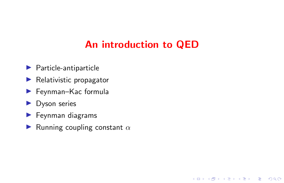# An introduction to QED

K ロ ▶ K 個 ▶ K 할 ▶ K 할 ▶ 이 할 → 9 Q Q →

- $\blacktriangleright$  Particle-antiparticle
- $\blacktriangleright$  Relativistic propagator
- $\blacktriangleright$  Feynman–Kac formula
- $\blacktriangleright$  Dyson series
- $\blacktriangleright$  Feynman diagrams
- **I** Running coupling constant  $\alpha$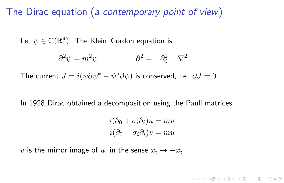The Dirac equation (a contemporary point of view)

Let  $\psi \in \mathbb{C}(\mathbb{R}^4)$ . The Klein–Gordon equation is

$$
\partial^2 \psi = m^2 \psi \qquad \qquad \partial^2 = -\partial_0^2 + \nabla^2
$$

The current  $J = i(\psi \partial \psi^* - \psi^* \partial \psi)$  is conserved, i.e.  $\partial J = 0$ 

In 1928 Dirac obtained a decomposition using the Pauli matrices

$$
i(\partial_0 + \sigma_i \partial_i)u = mv
$$
  

$$
i(\partial_0 - \sigma_i \partial_i)v = mu
$$

KELK KØLK VELKEN EL 1990

 $v$  is the mirror image of  $u$ , in the sense  $x_i \mapsto -x_i$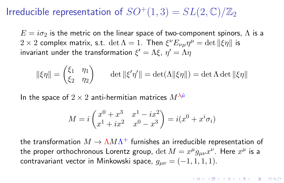# Irreducible representation of  $SO^+(1,3) = SL(2,\mathbb{C})/\mathbb{Z}_2$

 $E = i\sigma_2$  is the metric on the linear space of two-component spinors,  $\Lambda$  is a  $2 \times 2$  complex matrix, s.t.  $\det \Lambda = 1$ . Then  $\xi^{\nu} E_{\nu \mu} \eta^{\mu} = \det ||\xi \eta||$  is invariant under the transformation  $\xi' = \Lambda \xi$ ,  $\eta' = \Lambda \eta$ 

$$
\|\xi\eta\| = \begin{pmatrix} \xi_1 & \eta_1 \\ \xi_2 & \eta_2 \end{pmatrix} \qquad \det \|\xi'\eta'\| = \det(\Lambda \|\xi\eta\|) = \det \Lambda \det \|\xi\eta\|
$$

In the space of  $2 \times 2$  anti-hermitian matrices  $M^{\lambda\mu}$ 

$$
M = i \begin{pmatrix} x^0 + x^3 & x^1 - ix^2 \\ x^1 + ix^2 & x^0 - x^3 \end{pmatrix} = i(x^0 + x^i \sigma_i)
$$

the transformation  $M \to \Lambda M \Lambda^+$  furnishes an irreducible representation of the proper orthochronous Lorentz group,  $\det M = x^\mu g_{\mu\nu}x^\nu$ . Here  $x^\mu$  is a contravariant vector in Minkowski space,  $g_{\mu\nu} = (-1, 1, 1, 1)$ .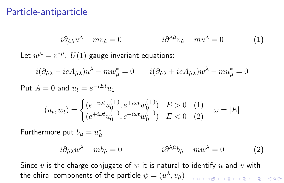#### Particle-antiparticle

$$
i\partial_{\dot{\mu}\lambda}u^{\lambda} - mv_{\dot{\mu}} = 0 \qquad \qquad i\partial^{\lambda\dot{\mu}}v_{\dot{\mu}} - mu^{\lambda} = 0 \qquad (1)
$$

Let  $w^{\mu} = v^{*\mu}$ .  $U(1)$  gauge invariant equations:

 $i(\partial_{\mu\lambda} - ieA_{\mu\lambda})u^{\lambda} - mw_{\mu}^* = 0$   $i(\partial_{\mu\lambda} + ieA_{\mu\lambda})w^{\lambda} - mu_{\mu}^* = 0$ 

Put  $A = 0$  and  $u_t = e^{-iEt}u_0$ 

$$
(u_t, w_t) = \begin{cases} (e^{-i\omega t} u_0^{(+)}, e^{+i\omega t} w_0^{(+)}) & E > 0 \\ (e^{+i\omega t} u_0^{(-)}, e^{-i\omega t} w_0^{(-)}) & E < 0 \end{cases} \quad (1) \quad \omega = |E|
$$

Furthermore put  $b_{\dot \mu} = u^*_{\dot \mu}$ 

$$
i\partial_{\dot{\mu}\lambda}w^{\lambda} - mb_{\dot{\mu}} = 0 \qquad \qquad i\partial^{\lambda\dot{\mu}}b_{\dot{\mu}} - mw^{\lambda} = 0 \qquad (2)
$$

Since  $v$  is the charge conjugate of  $w$  it is natural to identify  $u$  and  $v$  with the chiral components of the particle  $\psi=(u^\lambda,v_{\dot{\mu}})$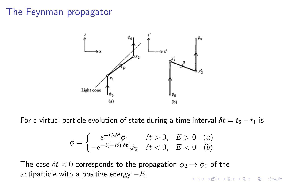# The Feynman propagator



For a virtual particle evolution of state during a time interval  $\delta t = t_2 - t_1$  is

$$
\phi = \begin{cases}\n e^{-iE\delta t} \phi_1 & \delta t > 0, \quad E > 0 \quad (a) \\
-e^{-i(-E)|\delta t|} \phi_2 & \delta t < 0, \quad E < 0 \quad (b)\n\end{cases}
$$

The case  $\delta t < 0$  corresponds to the propagation  $\phi_2 \rightarrow \phi_1$  of the antiparticle with a positive energy  $-E$ .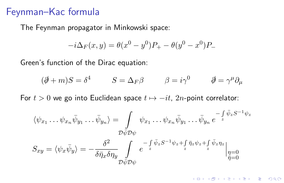#### Feynman–Kac formula

The Feynman propagator in Minkowski space:

$$
-i\Delta_F(x,y) = \theta(x^0 - y^0)P_+ - \theta(y^0 - x^0)P_-
$$

Green's function of the Dirac equation:

$$
(\partial \!\!\! /+m)S = \delta^4 \qquad \quad S = \Delta_F \beta \qquad \quad \beta = i\gamma^0 \qquad \quad \partial \!\!\! / = \gamma^\mu \partial_\mu
$$

For  $t > 0$  we go into Euclidean space  $t \mapsto -it$ , 2n-point correlator:

$$
\langle \psi_{x_1} \dots \psi_{x_n} \bar{\psi}_{y_1} \dots \bar{\psi}_{y_n} \rangle = \int_{\mathcal{D}\bar{\psi} \mathcal{D}\psi} \psi_{x_1} \dots \psi_{x_n} \bar{\psi}_{y_1} \dots \bar{\psi}_{y_n} e^{-\int_{z} \bar{\psi}_z S^{-1} \psi_z} \nS_{xy} = \langle \psi_x \bar{\psi}_y \rangle = -\frac{\delta^2}{\delta \bar{\eta}_x \delta \eta_y} \int_{\mathcal{D}\bar{\psi} \mathcal{D}\psi} e^{-\int_{z} \bar{\psi}_z S^{-1} \psi_z + \int_{z} \bar{\eta}_z \psi_z + \int_{z} \bar{\psi}_z \eta_z} \Big|_{\substack{\eta = 0 \\ \bar{\eta} = 0}}
$$

K ロ ▶ K 個 ▶ K 할 ▶ K 할 ▶ 이 할 → 9 Q Q →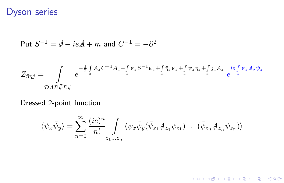### Dyson series

Put 
$$
S^{-1} = \emptyset - ieA + m
$$
 and  $C^{-1} = -\partial^2$ 

$$
Z_{\bar{\eta}\eta j} = \int_{\mathcal{D}A\mathcal{D}\bar{\psi}\mathcal{D}\psi} e^{-\frac{1}{2}\int\limits_{z} A_{z}C^{-1}A_{z} - \int\limits_{z} \bar{\psi}_{z}S^{-1}\psi_{z} + \int\limits_{z} \bar{\eta}_{z}\psi_{z} + \int\limits_{z} \bar{\psi}_{z}\eta_{z} + \int\limits_{z} j_{z}A_{z} \text{ ie } \int\limits_{z} \bar{\psi}_{z}A_{z}\psi_{z}
$$

Dressed 2-point function

$$
\langle \psi_x \bar{\psi}_y \rangle = \sum_{n=0}^{\infty} \frac{(ie)^n}{n!} \int_{z_1...z_n} \langle \psi_x \bar{\psi}_y (\bar{\psi}_{z_1} A_{z_1} \psi_{z_1}) \dots (\bar{\psi}_{z_n} A_{z_n} \psi_{z_n}) \rangle
$$

K ロ K イロ K モ K モ K モ K モ エ エ の Q Q C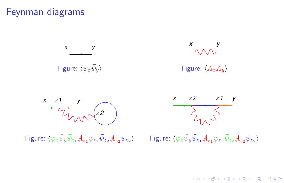### Feynman diagrams





Figure:  $\langle A_x A_y \rangle$ 



Figure:  $\langle \psi_x \bar{\psi}_y \bar{\psi}_{z_1} \mathcal{A}_{z_1} \psi_{z_1} \bar{\psi}_{z_2} \mathcal{A}_{z_2} \psi_{z_2} \rangle$ 



Figure:  $\langle \psi_x \bar{\psi}_y \bar{\psi}_{z_1} \mathcal{A}_{z_1} \psi_{z_1} \bar{\psi}_{z_2} \mathcal{A}_{z_2} \psi_{z_2} \rangle$ 

K ロ ▶ K 個 ▶ K 할 ▶ K 할 ▶ 이 할 → 9 Q Q →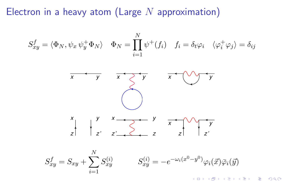Electron in a heavy atom (Large  $N$  approximation)

$$
S_{xy}^{f} = \langle \Phi_N, \psi_x \psi_y^+ \Phi_N \rangle \quad \Phi_N = \prod_{i=1}^N \psi^+(f_i) \quad f_i = \delta_t \varphi_i \quad \langle \varphi_i^+ \varphi_j \rangle = \delta_{ij}
$$
  

$$
\overline{x} \quad \overline{y} \quad \overline{x} \quad \overline{y} \quad \overline{x} \quad \overline{y} \quad \overline{y}
$$
  

$$
\overline{y} \quad \overline{y} \quad \overline{y} \quad \overline{y} \quad \overline{y} \quad \overline{y} \quad \overline{y} \quad \overline{y} \quad \overline{y} \quad \overline{y} \quad \overline{y} \quad \overline{y} \quad \overline{y} \quad \overline{y} \quad \overline{y} \quad \overline{y} \quad \overline{y} \quad \overline{z} \quad \overline{z} \quad \overline{z} \quad \overline{z} \quad \overline{z} \quad \overline{z} \quad \overline{z} \quad \overline{z} \quad \overline{z} \quad \overline{z} \quad \overline{z} \quad \overline{z} \quad \overline{z} \quad \overline{z} \quad \overline{z} \quad \overline{z} \quad \overline{z} \quad \overline{z} \quad \overline{z} \quad \overline{z} \quad \overline{z} \quad \overline{z} \quad \overline{z} \quad \overline{z} \quad \overline{z} \quad \overline{z} \quad \overline{z} \quad \overline{z} \quad \overline{z} \quad \overline{z} \quad \overline{z} \quad \overline{z} \quad \overline{z} \quad \overline{z} \quad \overline{z} \quad \overline{z} \quad \overline{z} \quad \overline{z} \quad \overline{z} \quad \overline{z} \quad \overline{z} \quad \overline{z} \quad \overline{z} \quad \overline{z} \quad \overline{z} \quad \overline{z} \quad \overline{z} \quad \overline{z} \quad \overline{z} \quad \overline{z} \quad \overline{z} \quad \overline{z} \quad \overline{z} \quad \overline{z} \quad \overline{z} \quad \overline{z} \quad \overline{z} \quad \overline{z} \quad \overline{z} \quad \
$$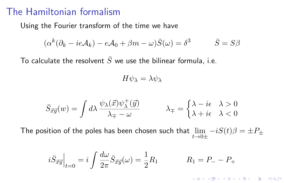#### The Hamiltonian formalism

Using the Fourier transform of the time we have

$$
(\alpha^{k}(\partial_{k} - ie\mathcal{A}_{k}) - e\mathcal{A}_{0} + \beta m - \omega)\bar{S}(\omega) = \delta^{3} \qquad \bar{S} = S\beta
$$

To calculate the resolvent  $\bar{S}$  we use the bilinear formula, i.e.

$$
H\psi_{\lambda} = \lambda \psi_{\lambda}
$$

$$
\bar{S}_{\vec{x}\vec{y}}(w) = \int d\lambda \, \frac{\psi_\lambda(\vec{x}) \psi_\lambda^+(\vec{y})}{\lambda_{\mp} - \omega} \qquad \quad \lambda_{\mp} = \begin{cases} \lambda - i\epsilon & \lambda > 0 \\ \lambda + i\epsilon & \lambda < 0 \end{cases}
$$

The position of the poles has been chosen such that  $\displaystyle{\lim_{t\to 0\pm}-iS(t)\beta=\pm P_{\pm}}$ 

$$
i\bar{S}_{\vec{x}\vec{y}}\Big|_{t=0} = i \int \frac{d\omega}{2\pi} \bar{S}_{\vec{x}\vec{y}}(\omega) = \frac{1}{2} R_1 \qquad R_1 = P_- - P_+
$$

K □ K K @ K K B K X B K G W K K K K W K W G W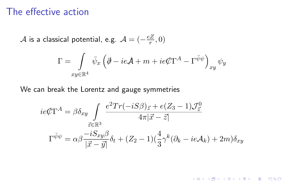#### The effective action

 ${\mathcal A}$  is a classical potential, e.g.  ${\mathcal A}=(-\frac{eZ}{r})$  $\frac{2Z}{r},0)$ 

$$
\Gamma = \int \limits_{xy \in \mathbb{R}^4} \bar{\psi}_x \left( \partial\!\!\!/-ie\mathcal{A} + m + ie\mathcal{C}\Gamma^A - \Gamma^{\bar{\psi}\psi} \right)_{xy} \psi_y
$$

We can break the Lorentz and gauge symmetries

$$
ie\mathcal{L}\Gamma^{A} = \beta \delta_{xy} \int \frac{e^{2}Tr(-iS\beta)_{\vec{z}} + e(Z_{3} - 1)\mathcal{J}_{\vec{z}}^{0}}{4\pi |\vec{x} - \vec{z}|}
$$

$$
\Gamma^{\bar{\psi}\psi} = \alpha \beta \frac{-iS_{xy}\beta}{|\vec{x} - \vec{y}|} \delta_{t} + (Z_{2} - 1)(\frac{4}{3}\gamma^{k}(\partial_{k} - ie\mathcal{A}_{k}) + 2m)\delta_{xy}
$$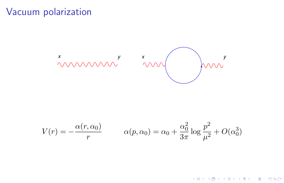# Vacuum polarization



$$
V(r) = -\frac{\alpha(r, \alpha_0)}{r} \qquad \alpha(p, \alpha_0) = \alpha_0 + \frac{\alpha_0^2}{3\pi} \log \frac{p^2}{\mu^2} + O(\alpha_0^3)
$$

イロト イ母 トイミト イミト ニヨー りんぴ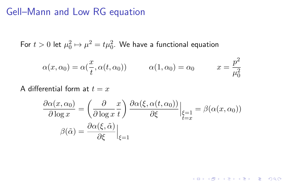### Gell–Mann and Low RG equation

For  $t>0$  let  $\mu_0^2 \mapsto \mu^2 = t \mu_0^2$ . We have a functional equation

$$
\alpha(x, \alpha_0) = \alpha(\frac{x}{t}, \alpha(t, \alpha_0)) \qquad \alpha(1, \alpha_0) = \alpha_0 \qquad x = \frac{p^2}{\mu_0^2}
$$

 $\Omega$ 

K □ K K @ K K B K X B K G W K K K K W K W G W

#### A differential form at  $t = x$

$$
\frac{\partial \alpha(x, \alpha_0)}{\partial \log x} = \left(\frac{\partial}{\partial \log x} \frac{x}{t}\right) \frac{\partial \alpha(\xi, \alpha(t, \alpha_0))}{\partial \xi}\Big|_{\substack{\xi=1 \ \xi=x}} = \beta(\alpha(x, \alpha_0))
$$

$$
\beta(\tilde{\alpha}) = \frac{\partial \alpha(\xi, \tilde{\alpha})}{\partial \xi}\Big|_{\xi=1}
$$